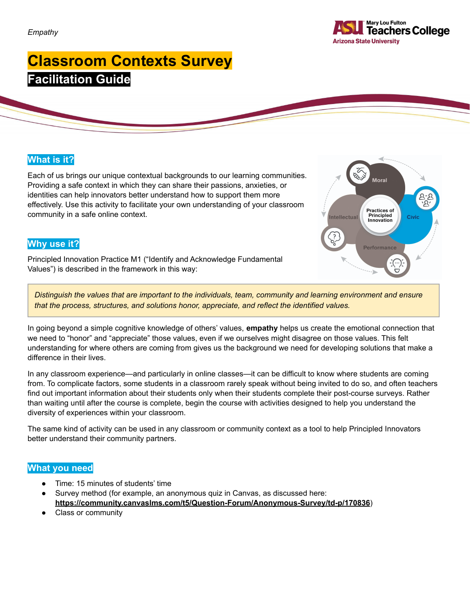

# **Classroom Contexts Survey Facilitation Guide**

### **What is it?**

Each of us brings our unique contextual backgrounds to our learning communities. Providing a safe context in which they can share their passions, anxieties, or identities can help innovators better understand how to support them more effectively. Use this activity to facilitate your own understanding of your classroom community in a safe online context.



### **Why use it?**

Principled Innovation Practice M1 ("Identify and Acknowledge Fundamental Values") is described in the framework in this way:

Distinguish the values that are important to the individuals, team, community and learning environment and ensure *that the process, structures, and solutions honor, appreciate, and reflect the identified values.*

In going beyond a simple cognitive knowledge of others' values, **empathy** helps us create the emotional connection that we need to "honor" and "appreciate" those values, even if we ourselves might disagree on those values. This felt understanding for where others are coming from gives us the background we need for developing solutions that make a difference in their lives.

In any classroom experience—and particularly in online classes—it can be difficult to know where students are coming from. To complicate factors, some students in a classroom rarely speak without being invited to do so, and often teachers find out important information about their students only when their students complete their post-course surveys. Rather than waiting until after the course is complete, begin the course with activities designed to help you understand the diversity of experiences within your classroom.

The same kind of activity can be used in any classroom or community context as a tool to help Principled Innovators better understand their community partners.

#### **What you need**

- Time: 15 minutes of students' time
- Survey method (for example, an anonymous quiz in Canvas, as discussed here: **<https://community.canvaslms.com/t5/Question-Forum/Anonymous-Survey/td-p/170836>**)
- Class or community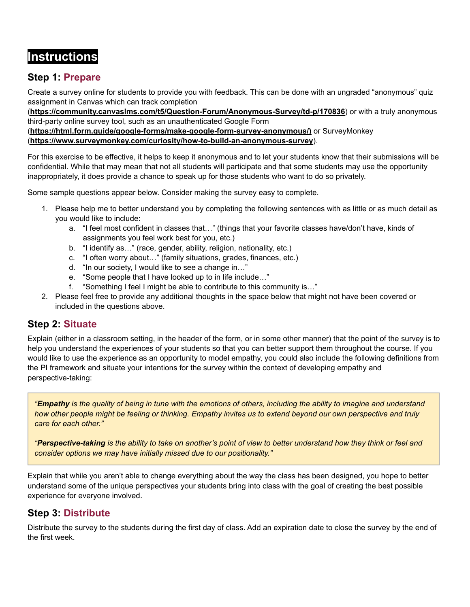# **Instructions**

# **Step 1: Prepare**

Create a survey online for students to provide you with feedback. This can be done with an ungraded "anonymous" quiz assignment in Canvas which can track completion

(**<https://community.canvaslms.com/t5/Question-Forum/Anonymous-Survey/td-p/170836>**) or with a truly anonymous third-party online survey tool, such as an unauthenticated Google Form

(**[https://html.form.guide/google-forms/make-google-form-survey-anonymous/\)](https://html.form.guide/google-forms/make-google-form-survey-anonymous/)** or SurveyMonkey (**[https://www.surveymonkey.com/curiosity/how-to-build-an-anonymous-survey](https://www.surveymonkey.com/curiosity/how-to-build-an-anonymous-survey/)**).

For this exercise to be effective, it helps to keep it anonymous and to let your students know that their submissions will be confidential. While that may mean that not all students will participate and that some students may use the opportunity inappropriately, it does provide a chance to speak up for those students who want to do so privately.

Some sample questions appear below. Consider making the survey easy to complete.

- 1. Please help me to better understand you by completing the following sentences with as little or as much detail as you would like to include:
	- a. "I feel most confident in classes that…" (things that your favorite classes have/don't have, kinds of assignments you feel work best for you, etc.)
	- b. "I identify as…" (race, gender, ability, religion, nationality, etc.)
	- c. "I often worry about…" (family situations, grades, finances, etc.)
	- d. "In our society, I would like to see a change in…"
	- e. "Some people that I have looked up to in life include…"
	- f. "Something I feel I might be able to contribute to this community is…"
- 2. Please feel free to provide any additional thoughts in the space below that might not have been covered or included in the questions above.

### **Step 2: Situate**

Explain (either in a classroom setting, in the header of the form, or in some other manner) that the point of the survey is to help you understand the experiences of your students so that you can better support them throughout the course. If you would like to use the experience as an opportunity to model empathy, you could also include the following definitions from the PI framework and situate your intentions for the survey within the context of developing empathy and perspective-taking:

"Empathy is the quality of being in tune with the emotions of others, including the ability to imagine and understand how other people might be feeling or thinking. Empathy invites us to extend beyond our own perspective and truly *care for each other."*

"Perspective-taking is the ability to take on another's point of view to better understand how they think or feel and *consider options we may have initially missed due to our positionality."*

Explain that while you aren't able to change everything about the way the class has been designed, you hope to better understand some of the unique perspectives your students bring into class with the goal of creating the best possible experience for everyone involved.

### **Step 3: Distribute**

Distribute the survey to the students during the first day of class. Add an expiration date to close the survey by the end of the first week.